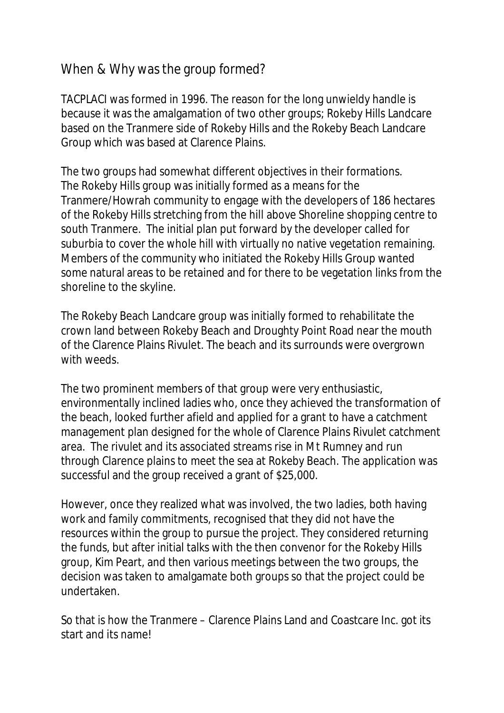## When & Why was the group formed?

TACPLACI was formed in 1996. The reason for the long unwieldy handle is because it was the amalgamation of two other groups; Rokeby Hills Landcare based on the Tranmere side of Rokeby Hills and the Rokeby Beach Landcare Group which was based at Clarence Plains.

The two groups had somewhat different objectives in their formations. The Rokeby Hills group was initially formed as a means for the Tranmere/Howrah community to engage with the developers of 186 hectares of the Rokeby Hills stretching from the hill above Shoreline shopping centre to south Tranmere. The initial plan put forward by the developer called for suburbia to cover the whole hill with virtually no native vegetation remaining. Members of the community who initiated the Rokeby Hills Group wanted some natural areas to be retained and for there to be vegetation links from the shoreline to the skyline.

The Rokeby Beach Landcare group was initially formed to rehabilitate the crown land between Rokeby Beach and Droughty Point Road near the mouth of the Clarence Plains Rivulet. The beach and its surrounds were overgrown with weeds.

The two prominent members of that group were very enthusiastic, environmentally inclined ladies who, once they achieved the transformation of the beach, looked further afield and applied for a grant to have a catchment management plan designed for the whole of Clarence Plains Rivulet catchment area. The rivulet and its associated streams rise in Mt Rumney and run through Clarence plains to meet the sea at Rokeby Beach. The application was successful and the group received a grant of \$25,000.

However, once they realized what was involved, the two ladies, both having work and family commitments, recognised that they did not have the resources within the group to pursue the project. They considered returning the funds, but after initial talks with the then convenor for the Rokeby Hills group, Kim Peart, and then various meetings between the two groups, the decision was taken to amalgamate both groups so that the project could be undertaken.

So that is how the Tranmere – Clarence Plains Land and Coastcare Inc. got its start and its name!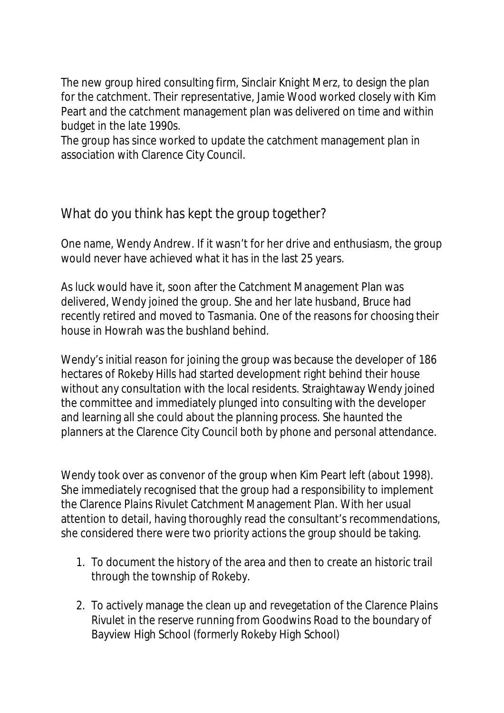The new group hired consulting firm, Sinclair Knight Merz, to design the plan for the catchment. Their representative, Jamie Wood worked closely with Kim Peart and the catchment management plan was delivered on time and within budget in the late 1990s.

The group has since worked to update the catchment management plan in association with Clarence City Council.

## What do you think has kept the group together?

One name, Wendy Andrew. If it wasn't for her drive and enthusiasm, the group would never have achieved what it has in the last 25 years.

As luck would have it, soon after the Catchment Management Plan was delivered, Wendy joined the group. She and her late husband, Bruce had recently retired and moved to Tasmania. One of the reasons for choosing their house in Howrah was the bushland behind.

Wendy's initial reason for joining the group was because the developer of 186 hectares of Rokeby Hills had started development right behind their house without any consultation with the local residents. Straightaway Wendy joined the committee and immediately plunged into consulting with the developer and learning all she could about the planning process. She haunted the planners at the Clarence City Council both by phone and personal attendance.

Wendy took over as convenor of the group when Kim Peart left (about 1998). She immediately recognised that the group had a responsibility to implement the Clarence Plains Rivulet Catchment Management Plan. With her usual attention to detail, having thoroughly read the consultant's recommendations, she considered there were two priority actions the group should be taking.

- 1. To document the history of the area and then to create an historic trail through the township of Rokeby.
- 2. To actively manage the clean up and revegetation of the Clarence Plains Rivulet in the reserve running from Goodwins Road to the boundary of Bayview High School (formerly Rokeby High School)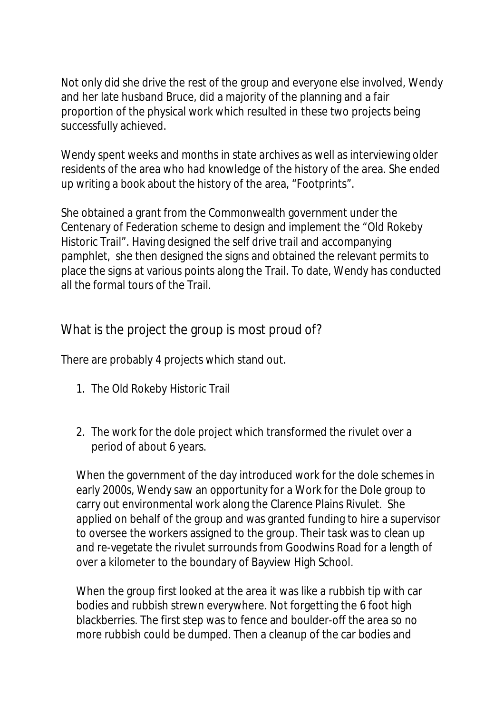Not only did she drive the rest of the group and everyone else involved, Wendy and her late husband Bruce, did a majority of the planning and a fair proportion of the physical work which resulted in these two projects being successfully achieved.

Wendy spent weeks and months in state archives as well as interviewing older residents of the area who had knowledge of the history of the area. She ended up writing a book about the history of the area, "Footprints".

She obtained a grant from the Commonwealth government under the Centenary of Federation scheme to design and implement the "Old Rokeby Historic Trail". Having designed the self drive trail and accompanying pamphlet, she then designed the signs and obtained the relevant permits to place the signs at various points along the Trail. To date, Wendy has conducted all the formal tours of the Trail.

What is the project the group is most proud of?

There are probably 4 projects which stand out.

- 1. The Old Rokeby Historic Trail
- 2. The work for the dole project which transformed the rivulet over a period of about 6 years.

When the government of the day introduced work for the dole schemes in early 2000s, Wendy saw an opportunity for a Work for the Dole group to carry out environmental work along the Clarence Plains Rivulet. She applied on behalf of the group and was granted funding to hire a supervisor to oversee the workers assigned to the group. Their task was to clean up and re-vegetate the rivulet surrounds from Goodwins Road for a length of over a kilometer to the boundary of Bayview High School.

When the group first looked at the area it was like a rubbish tip with car bodies and rubbish strewn everywhere. Not forgetting the 6 foot high blackberries. The first step was to fence and boulder-off the area so no more rubbish could be dumped. Then a cleanup of the car bodies and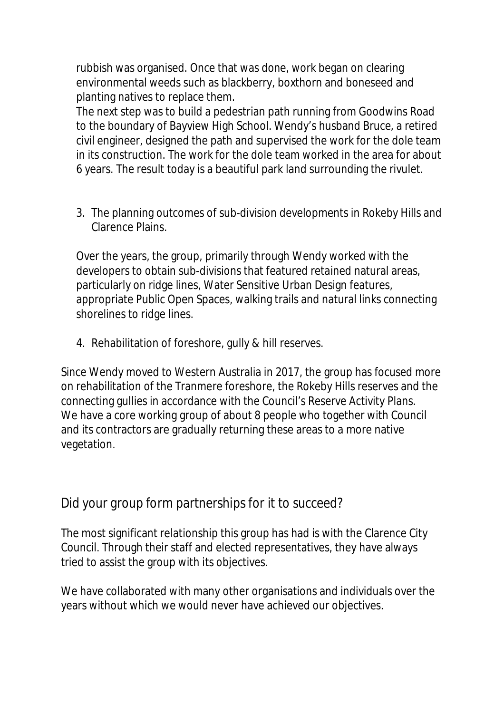rubbish was organised. Once that was done, work began on clearing environmental weeds such as blackberry, boxthorn and boneseed and planting natives to replace them.

The next step was to build a pedestrian path running from Goodwins Road to the boundary of Bayview High School. Wendy's husband Bruce, a retired civil engineer, designed the path and supervised the work for the dole team in its construction. The work for the dole team worked in the area for about 6 years. The result today is a beautiful park land surrounding the rivulet.

3. The planning outcomes of sub-division developments in Rokeby Hills and Clarence Plains.

Over the years, the group, primarily through Wendy worked with the developers to obtain sub-divisions that featured retained natural areas, particularly on ridge lines, Water Sensitive Urban Design features, appropriate Public Open Spaces, walking trails and natural links connecting shorelines to ridge lines.

4. Rehabilitation of foreshore, gully & hill reserves.

Since Wendy moved to Western Australia in 2017, the group has focused more on rehabilitation of the Tranmere foreshore, the Rokeby Hills reserves and the connecting gullies in accordance with the Council's Reserve Activity Plans. We have a core working group of about 8 people who together with Council and its contractors are gradually returning these areas to a more native vegetation.

Did your group form partnerships for it to succeed?

The most significant relationship this group has had is with the Clarence City Council. Through their staff and elected representatives, they have always tried to assist the group with its objectives.

We have collaborated with many other organisations and individuals over the years without which we would never have achieved our objectives.